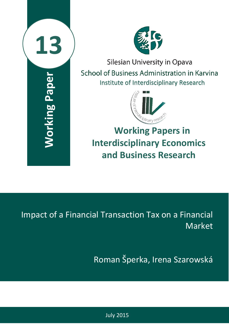



**Silesian University in Opava** School of Business Administration in Karvina Institute of Interdisciplinary Research



**Working Papers in Interdisciplinary Economics and Business Research**

Impact of a Financial Transaction Tax on a Financial Market

Roman Šperka, Irena Szarowská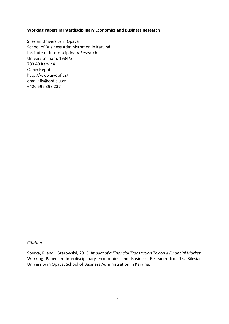## **Working Papers in Interdisciplinary Economics and Business Research**

Silesian University in Opava School of Business Administration in Karviná Institute of Interdisciplinary Research Univerzitní nám. 1934/3 733 40 Karviná Czech Republic http://www.iivopf.cz/ email: iiv@opf.slu.cz +420 596 398 237

### *Citation*

Šperka, R. and I. Szarowská, 2015. *Impact of a Financial Transaction Tax on a Financial Market.* Working Paper in Interdisciplinary Economics and Business Research No. 13. Silesian University in Opava, School of Business Administration in Karviná.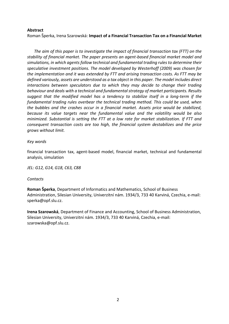## **Abstract**

Roman Šperka, Irena Szarowská: **Impact of a Financial Transaction Tax on a Financial Market**

*The aim of this paper is to investigate the impact of financial transaction tax (FTT) on the stability of financial market. The paper presents an agent-based financial market model and simulations, in which agents follow technical and fundamental trading rules to determine their speculative investment positions. The model developed by Westerhoff (2009) was chosen for the implementation and it was extended by FTT and arising transaction costs. As FTT may be defined variously, assets are understood as a tax object in this paper. The model includes direct interactions between speculators due to which they may decide to change their trading behaviour and deals with a technical and fundamental strategy of market participants. Results suggest that the modified model has a tendency to stabilize itself in a long-term if the fundamental trading rules overbear the technical trading method. This could be used, when the bubbles and the crashes occur in a financial market. Assets price would be stabilized, because its value targets near the fundamental value and the volatility would be also minimized. Substantial is setting the FTT at a low rate for market stabilization. If FTT and consequent transaction costs are too high, the financial system destabilizes and the price grows without limit.*

# *Key words*

financial transaction tax, agent-based model, financial market, technical and fundamental analysis, simulation

*JEL: G12, G14, G18, C63, C88*

## *Contacts*

**Roman Šperka**, Department of Informatics and Mathematics, School of Business Administration, Silesian University, Univerzitní nám. 1934/3, 733 40 Karviná, Czechia, e-mail: sperka@opf.slu.cz.

**Irena Szarowská**, Department of Finance and Accounting, School of Business Administration, Silesian University, Univerzitní nám. 1934/3, 733 40 Karviná, Czechia, e-mail: szarowska@opf.slu.cz.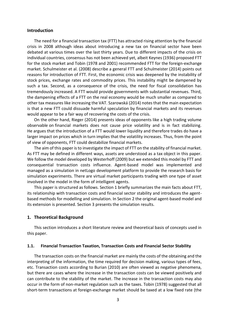### **Introduction**

The need for a financial transaction tax (FTT) has attracted rising attention by the financial crisis in 2008 although ideas about introducing a new tax on financial sector have been debated at various times over the last thirty years. Due to different impacts of the crisis on individual countries, consensus has not been achieved yet, albeit Keynes (1936) proposed FTT for the stock market and Tobin (1978 and 2001) recommended FTT for the foreign-exchange market. Schulmeister et al. (2008) describe a general FTT and Schulmeister (2014) points out reasons for introduction of FTT. First, the economic crisis was deepened by the instability of stock prices, exchange rates and commodity prices. This instability might be dampened by such a tax. Second, as a consequence of the crisis, the need for fiscal consolidation has tremendously increased. A FTT would provide governments with substantial revenues. Third, the dampening effects of a FTT on the real economy would be much smaller as compared to other tax measures like increasing the VAT. Szarowská (2014) notes that the main expectation is that a new FTT could dissuade harmful speculation by financial markets and its revenues would appear to be a fair way of recovering the costs of the crisis.

On the other hand, Rieger (2014) presents ideas of opponents like a high trading volume observable on financial markets does not cause price volatility and is in fact stabilizing. He argues that the introduction of a FTT would lower liquidity and therefore trades do have a larger impact on prices which in turn implies that the volatility increases. Thus, from the point of view of opponents, FTT could destabilize financial markets.

The aim of this paper is to investigate the impact of FTT on the stability of financial market. As FTT may be defined in different ways, assets are understood as a tax object in this paper. We follow the model developed by Westerhoff (2009) but we extended this model by FTT and consequential transaction costs influence. Agent-based model was implemented and managed as a simulation in netLogo development platform to provide the research basis for simulation experiments. There are virtual market participants trading with one type of asset involved in the model in the form of intelligent agents.

This paper is structured as follows. Section 1 briefly summarizes the main facts about FTT, its relationship with transaction costs and financial sector stability and introduces the agentbased methods for modelling and simulation. In Section 2 the original agent-based model and its extension is presented. Section 3 presents the simulation results.

#### **1. Theoretical Background**

This section introduces a short literature review and theoretical basis of concepts used in this paper.

### **1.1. Financial Transaction Taxation, Transaction Costs and Financial Sector Stability**

The transaction costs on the financial market are mainly the costs of the obtaining and the interpreting of the information, the time required for decision making, various types of fees, etc. Transaction costs according to Burian (2010) are often viewed as negative phenomena, but there are cases where the increase in the transaction costs can be viewed positively and can contribute to the stability of the market. The increase in the transaction costs may also occur in the form of non-market regulation such as the taxes. Tobin (1978) suggested that all short-term transactions at foreign-exchange market should be taxed at a low fixed rate (the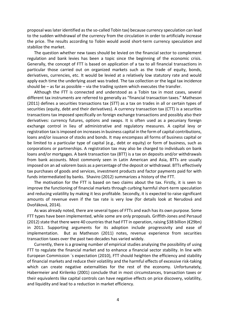proposal was later identified as the so-called Tobin tax) because currency speculation can lead to the sudden withdrawal of the currency from the circulation in order to artificially increase the price. The results according to Tobin would avoid short-term currency speculation and stabilize the market.

The question whether new taxes should be levied on the financial sector to complement regulation and bank levies has been a topic since the beginning of the economic crisis. Generally, the concept of FTT is based on application of a tax to all financial transactions in particular those carried out on organized markets such as the trade of equity, bonds, derivatives, currencies, etc. It would be levied at a relatively low statutory rate and would apply each time the underlying asset was traded. The tax collection or the legal tax incidence should be – as far as possible – via the trading system which executes the transfer.

Although the FTT is connected and understood as a Tobin tax in most cases, several different tax instruments are referred to generally as "financial transaction taxes." Matheson (2011) defines a securities transactions tax (STT) as a tax on trades in all or certain types of securities (equity, debt and their derivatives). A currency transaction tax (CTT) is a securities transactions tax imposed specifically on foreign exchange transactions and possibly also their derivatives: currency futures, options and swaps. It is often used as a pecuniary foreign exchange control in lieu of administrative and regulatory measures. A capital levy or registration tax is imposed on increases in business capital in the form of capital contributions, loans and/or issuance of stocks and bonds. It may encompass all forms of business capital or be limited to a particular type of capital (e.g., debt or equity) or form of business, such as corporations or partnerships. A registration tax may also be charged to individuals on bank loans and/or mortgages. A bank transaction tax (BTT) is a tax on deposits and/or withdrawals from bank accounts. Most commonly seen in Latin American and Asia, BTTs are usually imposed on an ad valorem basis as a percentage of the deposit or withdrawal. BTTs effectively tax purchases of goods and services, investment products and factor payments paid for with funds intermediated by banks. Shaviro (2012) summarizes a history of the FTT.

The motivation for the FTT is based on two claims about the tax. Firstly, it is seen to improve the functioning of financial markets through curbing harmful short-term speculation and reducing volatility by making it less profitable. Secondly, it is expected to raise significant amounts of revenue even if the tax rate is very low (for details look at Nerudová and Dvořáková, 2014).

As was already noted, there are several types of FTTs and each has its own purpose. Some FTT types have been implemented, while some are only proposals. Griffith-Jones and Persaud (2012) state that there were 40 countries that had FTT in operation, raising \$38 billion (€29bn) in 2011. Supporting arguments for its adoption include progressivity and ease of implementation. But as Matheson (2011) notes, revenue experience from securities transaction taxes over the past two decades has varied widely.

Currently, there is a growing number of empirical studies analysing the possibility of using FTT to regulate the financial market and to enhance a financial sector stability. In line with European Commission ´s expectation (2010), FTT should heighten the efficiency and stability of financial markets and reduce their volatility and the harmful effects of excessive risk-taking which can create negative externalities for the rest of the economy. Unfortunately, Habermeier and Kirilenko (2001) conclude that in most circumstances, transaction taxes or their equivalents like capital controls can have negative effects on price discovery, volatility, and liquidity and lead to a reduction in market efficiency.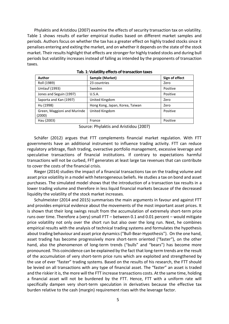Phylaktis and Aristidou (2007) examine the effects of security transaction tax on volatility. Table 1 shows results of earlier empirical studies based on different market samples and periods. Authors focus on whether the tax has a greater effect on highly traded stocks since it penalises entering and exiting the market, and on whether it depends on the state of the stock market. Their results highlight that effects are stronger for highly traded stocks and during bull periods but volatility increases instead of falling as intended by the proponents of transaction taxes.

| Author                                | Sample (Market)                 | Sign of effect |
|---------------------------------------|---------------------------------|----------------|
| Roll (1989)                           | 23 countries                    | Zero           |
| <b>Umlauf (1993)</b>                  | Sweden                          | Positive       |
| Jones and Seguin (1997)               | U.S.A.                          | Positive       |
| Saporta and Kan (1997)                | United Kingdom                  | Zero           |
| Hu (1998)                             | Hong Kong, Japan, Korea, Taiwan | Zero           |
| Green, Maggioni and Murinde<br>(2000) | United Kingdom                  | Positive       |
| Hau (2003)                            | France                          | Positive       |

**Tab. 1: Volatility effects of transaction taxes**

Source: Phylaktis and Aristidou (2007)

Schäfer (2012) argues that FTT complements financial market regulation. With FTT governments have an additional instrument to influence trading activity. FTT can reduce regulatory arbitrage, flash trading, overactive portfolio management, excessive leverage and speculative transactions of financial institutions. If contrary to expectations harmful transactions will not be curbed, FFT generates at least large tax revenues that can contribute to cover the costs of the financial crisis.

Rieger (2014) studies the impact of a financial transactions tax on the trading volume and asset price volatility in a model with heterogeneous beliefs. He studies a tax on bond and asset purchases. The simulated model shows that the introduction of a transaction tax results in a lower trading volume and therefore in less liquid financial markets because of the decreased liquidity the volatility of the stock market increases.

Schulmeister (2014 and 2015) summarises the main arguments in favour and against FTT and provides empirical evidence about the movements of the most important asset prices. It is shown that their long swings result from the accumulation of extremely short-term price runs over time. Therefore a (very) small FTT – between 0.1 and 0.01 percent – would mitigate price volatility not only over the short run but also over the long run. Next, he combines empirical results with the analysis of technical trading systems and formulates the hypothesis about trading behaviour and asset price dynamics ("Bull-Bear-Hypothesis"). On the one hand, asset trading has become progressively more short-term oriented ("faster"), on the other hand, also the phenomenon of long-term trends ("bulls" and "bears") has become more pronounced. This coincidence can be explained by the fact that long-term trends are the result of the accumulation of very short-term price runs which are exploited and strengthened by the use of ever "faster" trading systems. Based on the results of his research, the FTT should be levied on all transactions with any type of financial asset. The "faster" an asset is traded and the riskier it is, the more will the FTT increase transactions costs. At the same time, holding a financial asset will not be burdened by the FTT. Hence, FTT with a uniform rate will specifically dampen very short-term speculation in derivatives because the effective tax burden relative to the cash (margin) requirement rises with the leverage factor.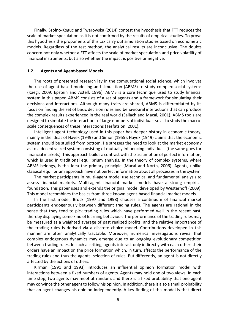Finally, Szołno-Koguc and Twarowska (2014) contest the hypothesis that FTT reduces the scale of market speculation as it is not confirmed by the results of empirical studies. To prove this hypothesis the proponents of this tax carry out simulation studies based on econometric models. Regardless of the test method, the analytical results are inconclusive. The doubts concern not only whether a FTT affects the scale of market speculation and price volatility of financial instruments, but also whether the impact is positive or negative.

#### **1.2. Agents and Agent-based Models**

The roots of presented research lay in the computational social science, which involves the use of agent-based modelling and simulation (ABMS) to study complex social systems (Kaegi, 2009; Epstein and Axtell, 1996). ABMS is a core technique used to study financial system in this paper. ABMS consists of a set of agents and a framework for simulating their decisions and interactions. Although many traits are shared, ABMS is differentiated by its focus on finding the set of basic decision rules and behavioural interactions that can produce the complex results experienced in the real world (Sallach and Macal, 2001). ABMS tools are designed to simulate the interactions of large numbers of individuals so as to study the macroscale consequences of these interactions (Tesfatsion, 2001).

Intelligent agent technology used in this paper has deeper history in economic theory, mainly in the ideas of Hayek (1949) and Simon (1955). Hayek (1949) claims that the economic system should be studied from bottom. He stresses the need to look at the market economy as to a decentralized system consisting of mutually influencing individuals (the same goes for financial markets). This approach builds a contrast with the assumption of perfect information, which is used in traditional equilibrium analysis. In the theory of complex systems, where ABMS belongs, is this idea the primary principle (Macal and North, 2006). Agents, unlike classical equilibrium approach have not perfect information about all processes in the system.

The market participants in multi-agent model use technical and fundamental analysis to assess financial markets. Multi-agent financial market models have a strong empirical foundation. This paper uses and extends the original model developed by Westerhoff (2009). This model recombines the basics from three known agent-based financial market models.

In the first model, Brock (1997 and 1998) chooses a continuum of financial market participants endogenously between different trading rules. The agents are rational in the sense that they tend to pick trading rules which have performed well in the recent past, thereby displaying some kind of learning behaviour. The performance of the trading rules may be measured as a weighted average of past realized profits, and the relative importance of the trading rules is derived via a discrete choice model. Contributions developed in this manner are often analytically tractable. Moreover, numerical investigations reveal that complex endogenous dynamics may emerge due to an ongoing evolutionary competition between trading rules. In such a setting, agents interact only indirectly with each other: their orders have an impact on the price formation which, in turn, affects the performance of the trading rules and thus the agents' selection of rules. Put differently, an agent is not directly affected by the actions of others.

Kirman (1991 and 1993) introduces an influential opinion formation model with interactions between a fixed numbers of agents. Agents may hold one of two views. In each time step, two agents may meet at random, and there is a fixed probability that one agent may convince the other agent to follow his opinion. In addition, there is also a small probability that an agent changes his opinion independently. A key finding of this model is that direct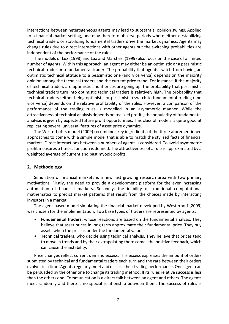interactions between heterogeneous agents may lead to substantial opinion swings. Applied to a financial market setting, one may therefore observe periods where either destabilizing technical traders or stabilizing fundamental traders drive the market dynamics. Agents may change rules due to direct interactions with other agents but the switching probabilities are independent of the performance of the rules.

The models of Lux (1998) and Lux and Marchesi (1999) also focus on the case of a limited number of agents. Within this approach, an agent may either be an optimistic or a pessimistic technical trader or a fundamental trader. The probability that agents switch from having an optimistic technical attitude to a pessimistic one (and vice versa) depends on the majority opinion among the technical traders and the current price trend. For instance, if the majority of technical traders are optimistic and if prices are going up, the probability that pessimistic technical traders turn into optimistic technical traders is relatively high. The probability that technical traders (either being optimistic or pessimistic) switch to fundamental trading (and vice versa) depends on the relative profitability of the rules. However, a comparison of the performance of the trading rules is modelled in an asymmetric manner. While the attractiveness of technical analysis depends on realized profits, the popularity of fundamental analysis is given by expected future profit opportunities. This class of models is quite good at replicating several universal features of asset price dynamics.

The Westerhoff´s model (2009) recombines key ingredients of the three aforementioned approaches to come with a simple model that is able to match the stylized facts of financial markets. Direct interactions between a numbers of agents is considered. To avoid asymmetric profit measures a fitness function is defined. The attractiveness of a rule is approximated by a weighted average of current and past myopic profits.

#### **2. Methodology**

Simulation of financial markets is a new fast growing research area with two primary motivations. Firstly, the need to provide a development platform for the ever increasing automation of financial markets. Secondly, the inability of traditional computational mathematics to predict market patterns that result from the choices made by interacting investors in a market.

The agent-based model simulating the financial market developed by Westerhoff (2009) was chosen for the implementation. Two base types of traders are represented by agents:

- **Fundamental traders**, whose reactions are based on the fundamental analysis. They believe that asset prices in long term approximate their fundamental price. They buy assets when the price is under the fundamental value.
- **Technical traders**, who decide using technical analysis. They believe that prices tend to move in trends and by their extrapolating there comes the positive feedback, which can cause the instability.

Price changes reflect current demand excess. This excess expresses the amount of orders submitted by technical and fundamental traders each turn and the rate between their orders evolves in a time. Agents regularly meet and discuss their trading performance. One agent can be persuaded by the other one to change its trading method. If its rules relative success is less than the others one. Communication is a direct talk between an agent and others. The agents meet randomly and there is no special relationship between them. The success of rules is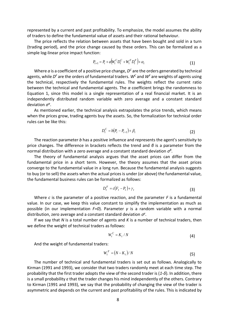represented by a current and past profitability. To emphasize, the model assumes the ability of traders to define the fundamental value of assets and their rational behaviour.

The price reflects the relation between assets that have been bought and sold in a turn (trading period), and the price change caused by these orders. This can be formalized as a simple log-linear price impact function:

$$
P_{t+1} = P_t + a \Big( W_t^C D_t^C + W_t^F D_t^F \Big) + \alpha_t \tag{1}
$$

Where *a* is a coefficient of a positive price change, D<sup>c</sup> are the orders generated by technical agents, while *D <sup>F</sup>* are the orders of fundamental traders. *W<sup>C</sup>* and *W<sup>F</sup>* are weights of agents using the technical, respectively the fundamental rules. The weights reflect the current ratio between the technical and fundamental agents. The *α* coefficient brings the randomness to Equation 1, since this model is a single representation of a real financial market. It is an independently distributed random variable with zero average and a constant standard deviation *σ α* .

As mentioned earlier, the technical analysis extrapolates the price trends, which means when the prices grow, trading agents buy the assets. So, the formalization for technical order rules can be like this:

$$
D_t^C = b(P_t - P_{t-1}) + \beta_t
$$
 (2)

The reaction parameter *b* has a positive influence and represents the agent's sensitivity to price changes. The difference in brackets reflects the trend and *β* is a parameter from the normal distribution with a zero average and a constant standard deviation  $σ<sup>β</sup>$ .

The theory of fundamental analysis argues that the asset prices can differ from the fundamental price in a short term. However, the theory assumes that the asset prices converge to the fundamental value in a long run. Because the fundamental analysis suggests to buy (or to sell) the assets when the actual prices is under (or above) the fundamental value, the fundamental business rules can be formalized as follows:

$$
D_t^F = c(F_t - P_t) + \gamma_t \tag{3}
$$

Where *c* is the parameter of a positive reaction, and the parameter *F* is a fundamental value. In our case, we keep this value constant to simplify the implementation as much as possible (in our implementation *F=0*). Parameter *γ* is a random variable with a normal distribution, zero average and a constant standard deviation *σ γ* .

If we say that *N* is a total number of agents and *K* is a number of technical traders, then we define the weight of technical traders as follows:

$$
W_t^C = K_t / N \tag{4}
$$

And the weight of fundamental traders:

$$
W_t^F = (N - K_t) / N \tag{5}
$$

The number of technical and fundamental traders is set out as follows. Analogically to Kirman (1991 and 1993), we consider that two traders randomly meet at each time step. The probability that the first trader adopts the view of the second trader is (*1-δ*). In addition, there is a small probability *ε* that the trader changes his mind independently of the others. Contrary to Kirman (1991 and 1993), we say that the probability of changing the view of the trader is asymmetric and depends on the current and past profitability of the rules. This is indicated by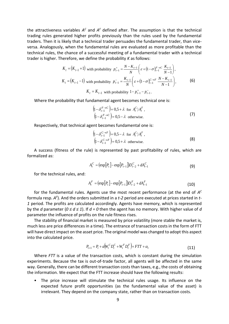the attractiveness variables  $A^C$  and  $A^F$  defined after. The assumption is that the technical trading rules generated higher profits previously than the rules used by the fundamental traders. Then it is likely that a technical trader persuades the fundamental trader, than viceversa. Analogously, when the fundamental rules are evaluated as more profitable than the technical rules, the chance of a successful meeting of a fundamental trader with a technical trader is higher. Therefore, we define the probability *K* as follows:

$$
K_{t} = (K_{t-1} + 1) \text{ with probability } p_{t-1}^{+} = \frac{N - K_{t-1}}{N} \left( \varepsilon + (1 - \sigma)_{t-1}^{F \to C} \frac{K_{t-1}}{N - 1} \right),
$$
  
\n
$$
K_{t} = (K_{t-1} - 1) \text{ with probability } p_{t-1}^{-} = \frac{K_{t-1}}{N} \left( \varepsilon + (1 - \sigma)_{t-1}^{C \to F} \frac{N - K_{t-1}}{N - 1} \right),
$$
  
\n
$$
K_{t} = K_{t-1} \text{ with probability } 1 - p_{t-1}^{+} - p_{t-1}^{-}.
$$
 (6)

Where the probability that fundamental agent becomes technical one is:

$$
\left(1 - \delta_{t-1}^{F \to C}\right) = 0.5 + \lambda \text{ for } A_t^C \rangle A_t^F,
$$
  
\n
$$
\left(1 - \delta_{t-1}^{F \to C}\right) = 0.5 - \lambda \text{ otherwise.}
$$
\n(7)

Respectively, that technical agent becomes fundamental one is:

$$
\left(1 - \delta_{t-1}^{C \to F}\right) = 0,5 - \lambda \text{ for } A_t^C \setminus A_t^F,
$$
  
\n
$$
\left(1 - \delta_{t-1}^{C \to F}\right) = 0,5 + \lambda \text{ otherwise.}
$$
\n(8)

A success (fitness of the rule) is represented by past profitability of rules, which are formalized as:

$$
A_t^C = (\exp[P_t] - \exp[P_{t-1}])D_{t-2}^C + dA_{t-1}^C
$$
\n(9)

for the technical rules, and:

$$
A_t^F = (\exp[P_t] - \exp[P_{t-1}])D_{t-2}^F + dA_{t-1}^F
$$
\n(10)

for the fundamental rules. Agents use the most recent performance (at the end of  $A^C$ formula resp. A<sup>F</sup>). And the orders submitted in a t-2 period are executed at prices started in t-*1* period. The profits are calculated accordingly. Agents have memory, which is represented by the *d* parameter (*0 ≤ d ≤ 1*). If *d = 0* then the agent has no memory. With higher value of *d* parameter the influence of profits on the rule fitness rises.

The stability of financial market is measured by price volatility (more stable the market is, much less are price differences in a time). The entrance of transaction costs in the form of FTT will have direct impact on the asset price. The original model was changed to adopt this aspect into the calculated price.

$$
P_{t+1} = P_t + a \big( W_t^C D_t^C + W_t^F D_t^F \big) + FTT + \alpha_t
$$
\n(11)

Where *FTT* is a value of the transaction costs, which is constant during the simulation experiments. Because the tax is out-of-trade factor, all agents will be affected in the same way. Generally, there can be different transaction costs than taxes, e.g., the costs of obtaining the information. We expect that the FTT increase should have the following results:

• The price increase will stimulate the technical rules usage. Its influence on the expected future profit opportunities (as the fundamental value of the asset) is irrelevant. They depend on the company state, rather than on transaction costs.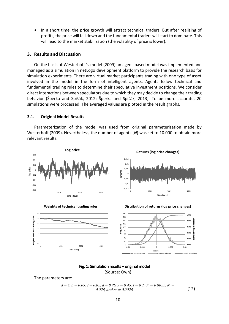• In a short time, the price growth will attract technical traders. But after realizing of profits, the price will fall down and the fundamental traders will start to dominate. This will lead to the market stabilization (the volatility of price is lower).

## **3. Results and Discussion**

On the basis of Westerhoff ´s model (2009) an agent-based model was implemented and managed as a simulation in netLogo development platform to provide the research basis for simulation experiments. There are virtual market participants trading with one type of asset involved in the model in the form of intelligent agents. Agents follow technical and fundamental trading rules to determine their speculative investment positions. We consider direct interactions between speculators due to which they may decide to change their trading behavior (Šperka and Spišák, 2012; Šperka and Spišák, 2013). To be more accurate, 20 simulations were processed. The averaged values are plotted in the result graphs.

#### **3.1. Original Model Results**

Parameterization of the model was used from original parameterization made by Westerhoff (2009). Nevertheless, the number of agents (*N*) was set to 10.000 to obtain more relevant results.



## **Fig. 1: Simulation results – original model** (Source: Own)

The parameters are:

$$
a = 1, b = 0.05, c = 0.02, d = 0.95, \lambda = 0.45, \varepsilon = 0.1, \sigma^{\alpha} = 0.0025, \sigma^{\beta} = 0.025, \text{ and } \sigma^{\gamma} = 0.0025 \tag{12}
$$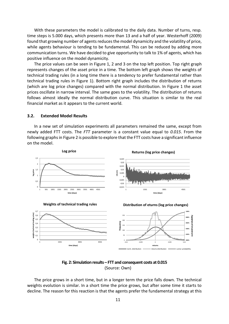With these parameters the model is calibrated to the daily data. Number of turns, resp. time steps is 5.000 days, which presents more than 13 and a half of year. Westerhoff (2009) found that growing number of agents reduces the model dynamicity and the volatility of price, while agents behaviour is tending to be fundamental. This can be reduced by adding more communication turns. We have decided to give opportunity to talk to 1% of agents, which has positive influence on the model dynamicity.

The price values can be seen in Figure 1, 2 and 3 on the top left position. Top right graph represents changes of the asset price in a time. The bottom left graph shows the weights of technical trading rules (in a long time there is a tendency to prefer fundamental rather than technical trading rules in Figure 1). Bottom right graph includes the distribution of returns (which are log price changes) compared with the normal distribution. In Figure 1 the asset prices oscillate in narrow interval. The same goes to the volatility. The distribution of returns follows almost ideally the normal distribution curve. This situation is similar to the real financial market as it appears to the current world.

#### **3.2. Extended Model Results**

In a new set of simulation experiments all parameters remained the same, except from newly added FTT costs. The *FTT* parameter is a constant value equal to *0.015*. From the following graphs in Figure 2 is possible to explore that the FTT costs have a significant influence on the model.





The price grows in a short time, but in a longer term the price falls down. The technical weights evolution is similar. In a short time the price grows, but after some time it starts to decline. The reason for this reaction is that the agents prefer the fundamental strategy at this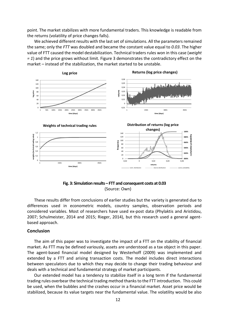point. The market stabilizes with more fundamental traders. This knowledge is readable from the returns (volatility of price changes falls).

We achieved different results with the last set of simulations. All the parameters remained the same; only the *FTT* was doubled and became the constant value equal to *0.03*. The higher value of FTT caused the model destabilization. Technical traders rules won in this case (*weight = 1*) and the price grows without limit. Figure 3 demonstrates the contradictory effect on the market – instead of the stabilization, the market started to be unstable.





These results differ from conclusions of earlier studies but the variety is generated due to differences used in econometric models, country samples, observation periods and considered variables. Most of researchers have used ex-post data (Phylaktis and Aristidou, 2007; Schulmeister, 2014 and 2015; Rieger, 2014), but this research used a general agentbased approach.

#### **Conclusion**

The aim of this paper was to investigate the impact of a FTT on the stability of financial market. As FTT may be defined variously, assets are understood as a tax object in this paper. The agent-based financial model designed by Westerhoff (2009) was implemented and extended by a FTT and arising transaction costs. The model includes direct interactions between speculators due to which they may decide to change their trading behaviour and deals with a technical and fundamental strategy of market participants.

Our extended model has a tendency to stabilize itself in a long term if the fundamental trading rules overbear the technical trading method thanks to the FTT introduction. This could be used, when the bubbles and the crashes occur in a financial market. Asset price would be stabilized, because its value targets near the fundamental value. The volatility would be also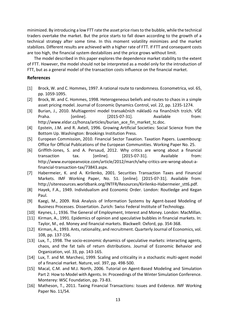minimized. By introducing a low FTT rate the asset price rises to the bubble, while the technical traders overtake the market. But the price starts to fall down according to the growth of a technical strategy after some time. In this moment volatility minimizes and the market stabilizes. Different results are achieved with a higher rate of FTT. If FTT and consequent costs are too high, the financial system destabilizes and the price grows without limit.

The model described in this paper explores the dependence market stability to the extent of FTT. However, the model should not be interpreted as a model only for the introduction of FTT, but as a general model of the transaction costs influence on the financial market.

### **References**

- [1] Brock, W. and C. Hommes, 1997. A rational route to randomness. Econometrica, vol. 65, pp. 1059-1095.
- [2] Brock, W. and C. Hommes, 1998. Heterogeneous beliefs and routes to chaos in a simple asset pricing model. Journal of Economic Dynamics Control, vol. 22, pp. 1235-1274.
- [3] Burian, J., 2010. Multiagentní model transakčních nákladů na finančních trzích. VŠE Praha. [online]. [2015-07-31]. Available from: http://www.eldar.cz/honza/articles/burian\_ace\_fin\_market\_tc.doc.
- [4] Epstein, J.M. and R. Axtell, 1996. Growing Artificial Societies: Social Science from the Bottom Up. Washington: Brookings Institution Press.
- [5] European Commission, 2010. Financial Sector Taxation. Taxation Papers. Luxembourg: Office for Official Publications of the European Communities. Working Paper No. 25.
- [6] Griffith-Jones, S. and A. Persaud, 2012. Why critics are wrong about a financial transaction tax. [online]. [2015-07-31]. Available from: http://www.europeanvoice.com/article/2012/march/why-critics-are-wrong-about-afinancial-transaction-tax/73843.aspx.
- [7] Habermeier, K. and A. Kirilenko, 2001. Securities Transaction Taxes and Financial Markets. IMF Working Paper, No. 51. [online]. [2015-07-31]. Available from: http://siteresources.worldbank.org/INTFR/Resources/Kirilenko-Habermeier\_stt6.pdf.
- [8] Hayek, F.A., 1949. Individualism and Economic Order. London: Routledge and Kegan Paul.
- [9] Kaegi, M., 2009. Risk Analysis of Information Systems by Agent-based Modeling of Business Processes. Dissertation. Zurich: Swiss Federal Institute of Technology.
- [10] Keynes, J., 1936. The General of Employment, Interest and Money. London: MacMillan.
- [11] Kirman, A., 1991. Epidemics of opinion and speculative bubbles in financial markets. In: Taylor, M., ed. Money and financial markets. Blackwell: Oxford, pp. 354-368.
- [12] Kirman, A., 1993. Ants, rationality, and recruitment. Quarterly Journal of Economics, vol. 108, pp. 137-156.
- [13] Lux, T., 1998. The socio-economic dynamics of speculative markets: interacting agents, chaos, and the fat tails of return distributions. Journal of Economic Behavior and Organization, vol. 33, pp. 143-165.
- [14] Lux, T. and M. Marchesi, 1999. Scaling and criticality in a stochastic multi-agent model of a financial market. Nature, vol. 397, pp. 498-500.
- [15] Macal, C.M. and M.J. North, 2006. Tutorial on Agent-Based Modeling and Simulation Part 2: How to Model with Agents. In: Proceedings of the Winter Simulation Conference. Monterey: WSC Foundation, pp. 73-83.
- [16] Matheson, T., 2011. Taxing Financial Transactions: Issues and Evidence. IMF Working Paper No. 11/54.